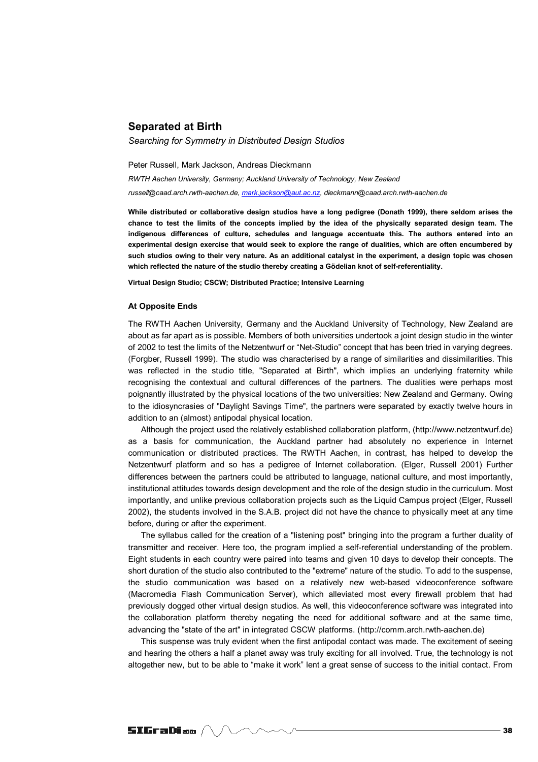## **Separated at Birth**

*Searching for Symmetry in Distributed Design Studios* 

Peter Russell, Mark Jackson, Andreas Dieckmann *RWTH Aachen University, Germany; Auckland University of Technology, New Zealand russell@caad.arch.rwth-aachen.de, mark.jackson@aut.ac.nz, dieckmann@caad.arch.rwth-aachen.de*

**While distributed or collaborative design studios have a long pedigree (Donath 1999), there seldom arises the chance to test the limits of the concepts implied by the idea of the physically separated design team. The indigenous differences of culture, schedules and language accentuate this. The authors entered into an experimental design exercise that would seek to explore the range of dualities, which are often encumbered by such studios owing to their very nature. As an additional catalyst in the experiment, a design topic was chosen which reflected the nature of the studio thereby creating a Gödelian knot of self-referentiality.** 

**Virtual Design Studio; CSCW; Distributed Practice; Intensive Learning** 

## **At Opposite Ends**

The RWTH Aachen University, Germany and the Auckland University of Technology, New Zealand are about as far apart as is possible. Members of both universities undertook a joint design studio in the winter of 2002 to test the limits of the Netzentwurf or "Net-Studio" concept that has been tried in varying degrees. (Forgber, Russell 1999). The studio was characterised by a range of similarities and dissimilarities. This was reflected in the studio title, "Separated at Birth", which implies an underlying fraternity while recognising the contextual and cultural differences of the partners. The dualities were perhaps most poignantly illustrated by the physical locations of the two universities: New Zealand and Germany. Owing to the idiosyncrasies of "Daylight Savings Time", the partners were separated by exactly twelve hours in addition to an (almost) antipodal physical location.

Although the project used the relatively established collaboration platform, (http://www.netzentwurf.de) as a basis for communication, the Auckland partner had absolutely no experience in Internet communication or distributed practices. The RWTH Aachen, in contrast, has helped to develop the Netzentwurf platform and so has a pedigree of Internet collaboration. (Elger, Russell 2001) Further differences between the partners could be attributed to language, national culture, and most importantly, institutional attitudes towards design development and the role of the design studio in the curriculum. Most importantly, and unlike previous collaboration projects such as the Liquid Campus project (Elger, Russell 2002), the students involved in the S.A.B. project did not have the chance to physically meet at any time before, during or after the experiment.

The syllabus called for the creation of a "listening post" bringing into the program a further duality of transmitter and receiver. Here too, the program implied a self-referential understanding of the problem. Eight students in each country were paired into teams and given 10 days to develop their concepts. The short duration of the studio also contributed to the "extreme" nature of the studio. To add to the suspense, the studio communication was based on a relatively new web-based videoconference software (Macromedia Flash Communication Server), which alleviated most every firewall problem that had previously dogged other virtual design studios. As well, this videoconference software was integrated into the collaboration platform thereby negating the need for additional software and at the same time, advancing the "state of the art" in integrated CSCW platforms. (http://comm.arch.rwth-aachen.de)

This suspense was truly evident when the first antipodal contact was made. The excitement of seeing and hearing the others a half a planet away was truly exciting for all involved. True, the technology is not altogether new, but to be able to "make it work" lent a great sense of success to the initial contact. From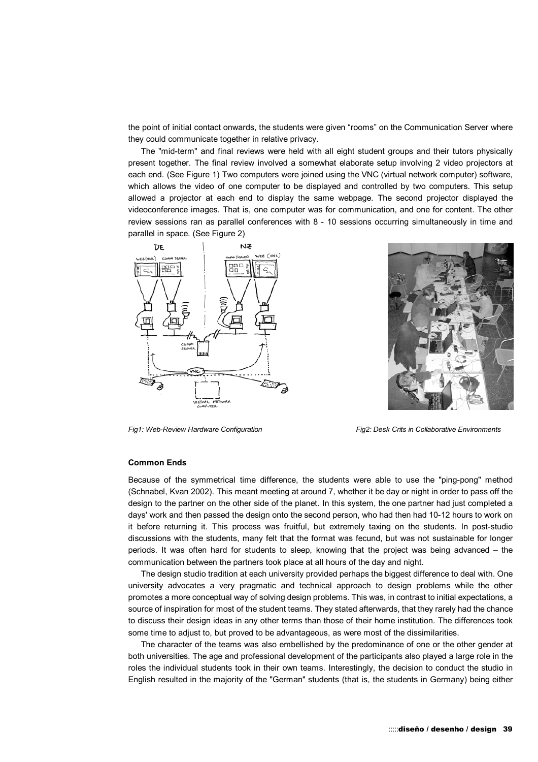the point of initial contact onwards, the students were given "rooms" on the Communication Server where they could communicate together in relative privacy.

The "mid-term" and final reviews were held with all eight student groups and their tutors physically present together. The final review involved a somewhat elaborate setup involving 2 video projectors at each end. (See Figure 1) Two computers were joined using the VNC (virtual network computer) software, which allows the video of one computer to be displayed and controlled by two computers. This setup allowed a projector at each end to display the same webpage. The second projector displayed the videoconference images. That is, one computer was for communication, and one for content. The other review sessions ran as parallel conferences with 8 - 10 sessions occurring simultaneously in time and parallel in space. (See Figure 2)





Fig1: Web-Review Hardware Configuration Fig2: Desk Crits in Collaborative Environments

## **Common Ends**

Because of the symmetrical time difference, the students were able to use the "ping-pong" method (Schnabel, Kvan 2002). This meant meeting at around 7, whether it be day or night in order to pass off the design to the partner on the other side of the planet. In this system, the one partner had just completed a days' work and then passed the design onto the second person, who had then had 10-12 hours to work on it before returning it. This process was fruitful, but extremely taxing on the students. In post-studio discussions with the students, many felt that the format was fecund, but was not sustainable for longer periods. It was often hard for students to sleep, knowing that the project was being advanced – the communication between the partners took place at all hours of the day and night.

The design studio tradition at each university provided perhaps the biggest difference to deal with. One university advocates a very pragmatic and technical approach to design problems while the other promotes a more conceptual way of solving design problems. This was, in contrast to initial expectations, a source of inspiration for most of the student teams. They stated afterwards, that they rarely had the chance to discuss their design ideas in any other terms than those of their home institution. The differences took some time to adjust to, but proved to be advantageous, as were most of the dissimilarities.

The character of the teams was also embellished by the predominance of one or the other gender at both universities. The age and professional development of the participants also played a large role in the roles the individual students took in their own teams. Interestingly, the decision to conduct the studio in English resulted in the majority of the "German" students (that is, the students in Germany) being either